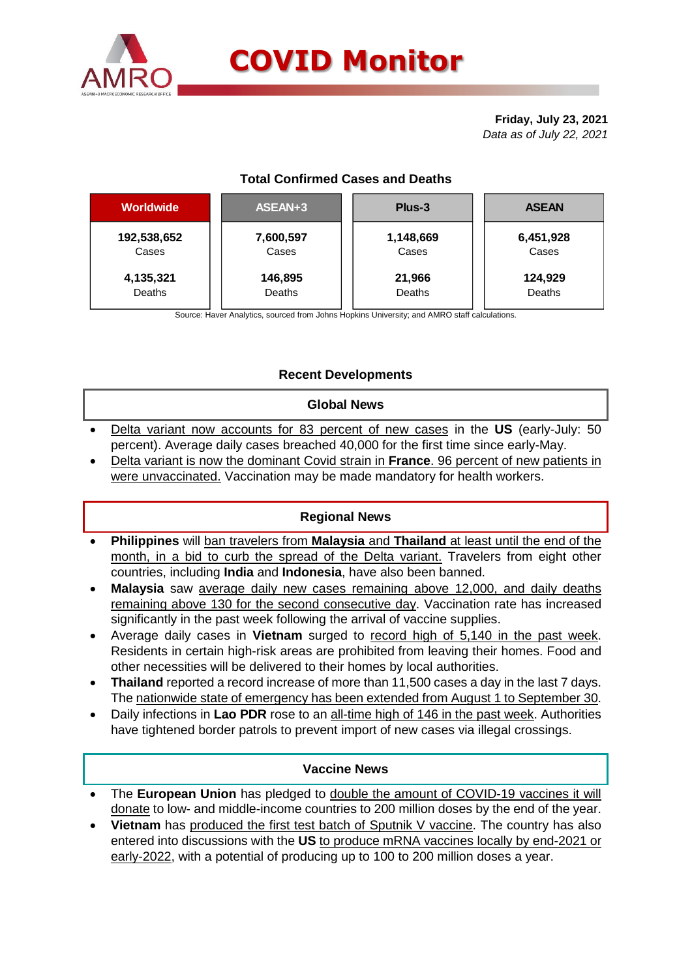

# **COVID Monitor**

**Friday, July 23, 2021** *Data as of July 22, 2021*

# **Total Confirmed Cases and Deaths**

| <b>Worldwide</b> | ASEAN+3   | Plus-3    | <b>ASEAN</b> |  |  |
|------------------|-----------|-----------|--------------|--|--|
| 192,538,652      | 7,600,597 | 1,148,669 | 6,451,928    |  |  |
| Cases            | Cases     | Cases     | Cases        |  |  |
| 4,135,321        | 146,895   | 21,966    | 124,929      |  |  |
| Deaths           | Deaths    | Deaths    | Deaths       |  |  |

Source: Haver Analytics, sourced from Johns Hopkins University; and AMRO staff calculations.

# **Recent Developments**

# **Global News**

- Delta variant now accounts for 83 percent of new cases in the **US** (early-July: 50 percent). Average daily cases breached 40,000 for the first time since early-May.
- Delta variant is now the dominant Covid strain in **France**. 96 percent of new patients in were unvaccinated. Vaccination may be made mandatory for health workers.

# **Regional News**

- **Philippines** will ban travelers from **Malaysia** and **Thailand** at least until the end of the month, in a bid to curb the spread of the Delta variant. Travelers from eight other countries, including **India** and **Indonesia**, have also been banned.
- **Malaysia** saw average daily new cases remaining above 12,000, and daily deaths remaining above 130 for the second consecutive day. Vaccination rate has increased significantly in the past week following the arrival of vaccine supplies.
- Average daily cases in **Vietnam** surged to record high of 5,140 in the past week. Residents in certain high-risk areas are prohibited from leaving their homes. Food and other necessities will be delivered to their homes by local authorities.
- **Thailand** reported a record increase of more than 11,500 cases a day in the last 7 days. The nationwide state of emergency has been extended from August 1 to September 30.
- Daily infections in **Lao PDR** rose to an all-time high of 146 in the past week. Authorities have tightened border patrols to prevent import of new cases via illegal crossings.

# **Vaccine News**

- The **European Union** has pledged to double the amount of COVID-19 vaccines it will donate to low- and middle-income countries to 200 million doses by the end of the year.
- **Vietnam** has produced the first test batch of Sputnik V vaccine. The country has also entered into discussions with the **US** to produce mRNA vaccines locally by end-2021 or early-2022, with a potential of producing up to 100 to 200 million doses a year.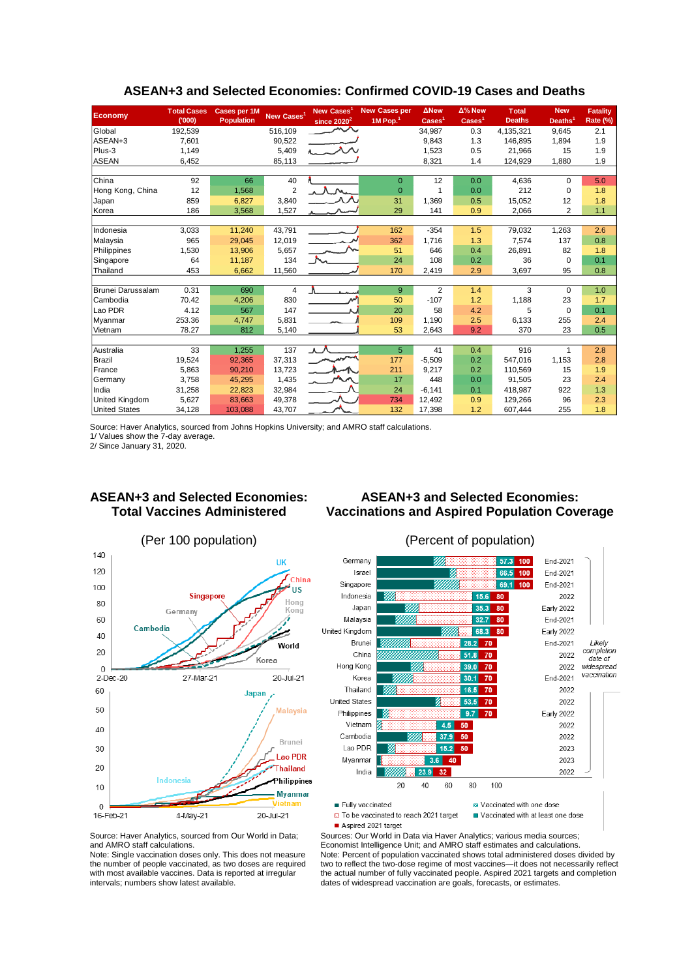| Economy              | <b>Total Cases</b><br>(000) | Cases per 1M<br>Population | New Cases <sup>1</sup> | New Cases<br>since $2020^2$ | <b>New Cases per</b><br>1M Pop. <sup>1</sup> | <b>ANew</b><br>$\text{Case}$ <sup>1</sup> | Δ% New<br>$\text{Case}$ | <b>Total</b><br><b>Deaths</b> | <b>New</b><br>Deaths <sup>1</sup> | <b>Fatality</b><br>Rate (%) |  |
|----------------------|-----------------------------|----------------------------|------------------------|-----------------------------|----------------------------------------------|-------------------------------------------|-------------------------|-------------------------------|-----------------------------------|-----------------------------|--|
| Global               | 192,539                     |                            | 516,109                | へへ                          |                                              | 34,987                                    | 0.3                     | 4,135,321                     | 9,645                             | 2.1                         |  |
| ASEAN+3              | 7.601                       |                            | 90.522                 |                             |                                              | 9,843                                     | 1.3                     | 146.895                       | 1.894                             | 1.9                         |  |
| Plus-3               | 1.149                       |                            | 5,409                  |                             |                                              | 1.523                                     | 0.5                     | 21,966                        | 15                                | 1.9                         |  |
| <b>ASEAN</b>         | 6,452                       |                            | 85,113                 |                             |                                              | 8,321                                     | 1.4                     | 124,929                       | 1,880                             | 1.9                         |  |
|                      |                             |                            |                        |                             |                                              |                                           |                         |                               |                                   |                             |  |
| China                | 92                          | 66                         | 40                     |                             | $\Omega$                                     | 12                                        | 0.0                     | 4,636                         | $\Omega$                          | 5.0                         |  |
| Hong Kong, China     | 12                          | 1,568                      | $\overline{2}$         |                             | $\overline{0}$                               |                                           | 0.0                     | 212                           | 0                                 | 1.8                         |  |
| Japan                | 859                         | 6,827                      | 3,840                  |                             | 31                                           | 1.369                                     | 0.5                     | 15,052                        | 12                                | 1.8                         |  |
| Korea                | 186                         | 3,568                      | 1,527                  |                             | 29                                           | 141                                       | 0.9                     | 2,066                         | $\overline{2}$                    | 1.1                         |  |
|                      |                             |                            |                        |                             |                                              |                                           |                         |                               |                                   |                             |  |
| Indonesia            | 3,033                       | 11.240                     | 43.791                 |                             | 162                                          | $-354$                                    | 1.5                     | 79,032                        | 1,263                             | 2.6                         |  |
| Malaysia             | 965                         | 29,045                     | 12,019                 |                             | 362                                          | 1,716                                     | 1.3                     | 7,574                         | 137                               | 0.8                         |  |
| Philippines          | 1,530                       | 13,906                     | 5,657                  |                             | 51                                           | 646                                       | 0.4                     | 26,891                        | 82                                | 1.8                         |  |
| Singapore            | 64                          | 11,187                     | 134                    |                             | 24                                           | 108                                       | 0.2                     | 36                            | 0                                 | 0.1                         |  |
| Thailand             | 453                         | 6,662                      | 11,560                 |                             | 170                                          | 2,419                                     | 2.9                     | 3,697                         | 95                                | 0.8                         |  |
|                      |                             |                            |                        |                             |                                              |                                           |                         |                               |                                   |                             |  |
| Brunei Darussalam    | 0.31                        | 690                        | 4                      |                             | 9                                            | $\overline{2}$                            | 1.4                     | 3                             | $\mathbf 0$                       | 1.0                         |  |
| Cambodia             | 70.42                       | 4,206                      | 830                    | فمهر                        | 50                                           | $-107$                                    | 1.2                     | 1,188                         | 23                                | 1.7                         |  |
| Lao PDR              | 4.12                        | 567                        | 147                    |                             | 20                                           | 58                                        | 4.2                     | 5                             | $\Omega$                          | 0.1                         |  |
| Myanmar              | 253.36                      | 4.747                      | 5.831                  |                             | 109                                          | 1.190                                     | 2.5                     | 6,133                         | 255                               | 2.4                         |  |
| Vietnam              | 78.27                       | 812                        | 5,140                  |                             | 53                                           | 2,643                                     | 9.2                     | 370                           | 23                                | 0.5                         |  |
|                      |                             |                            |                        |                             |                                              |                                           |                         |                               |                                   |                             |  |
| Australia            | 33                          | 1.255                      | 137                    | $\Lambda$                   | 5                                            | 41                                        | 0.4                     | 916                           |                                   | 2.8                         |  |
| Brazil               | 19,524                      | 92,365                     | 37,313                 |                             | 177                                          | $-5,509$                                  | 0.2                     | 547,016                       | 1,153                             | 2.8                         |  |
| France               | 5.863                       | 90.210                     | 13.723                 |                             | 211                                          | 9,217                                     | 0.2                     | 110.569                       | 15                                | 1.9                         |  |
| Germany              | 3.758                       | 45,295                     | 1,435                  |                             | 17                                           | 448                                       | 0.0                     | 91,505                        | 23                                | 2.4                         |  |
| India                | 31,258                      | 22,823                     | 32,984                 |                             | 24                                           | $-6.141$                                  | 0.1                     | 418,987                       | 922                               | 1.3                         |  |
| United Kingdom       | 5,627                       | 83.663                     | 49,378                 |                             | 734                                          | 12.492                                    | 0.9                     | 129.266                       | 96                                | 2.3                         |  |
| <b>United States</b> | 34,128                      | 103,088                    | 43,707                 |                             | 132                                          | 17,398                                    | 1.2                     | 607,444                       | 255                               | 1.8                         |  |

#### **ASEAN+3 and Selected Economies: Confirmed COVID-19 Cases and Deaths**

Source: Haver Analytics, sourced from Johns Hopkins University; and AMRO staff calculations.

1/ Values show the 7-day average.

2/ Since January 31, 2020.

# **ASEAN+3 and Selected Economies: Total Vaccines Administered**

### **ASEAN+3 and Selected Economies: Vaccinations and Aspired Population Coverage**



Germany 57.3 100 End-2021 End-2021 66.5 100 Israel 69.1 100 End-2021 Singapore Indonesia  $15.6$  80 2022 Early 2022 Japan 35.3 80 Malaysia End-2021  $32.7$ 80 United Kingdom 683  $80$ **Early 2022** Likely<br>completion Brunei 28.2 70 End-2021 China 51.8 70 2022 date of Hong Kong  $70$ 2022 widespread  $39.0$ vaccination Korea  $30.1$  $70<sub>2</sub>$ End-2021 Thailand 16.5  $70$ 2022 United States  $53.5$  $70$ 2022 Philippines  $9.7$  70 **Early 2022** Vietnam  $4.5$  50 2022  $37.9 50$ Cambodia 2022 Lao PDR  $15.2$  $50$ 2023 Myanmar 2023  $36$  $40$ India  $32$ 2022  $23.9$ 100  $20$ 40 60 80 Fully vaccinated

z Vaccinated with one dose

D To be vaccinated to reach 2021 target Aspired 2021 target

Vaccinated with at least one dose

Source: Haver Analytics, sourced from Our World in Data; and AMRO staff calculations.

Note: Single vaccination doses only. This does not measure the number of people vaccinated, as two doses are required with most available vaccines. Data is reported at irregular intervals; numbers show latest available.

Sources: Our World in Data via Haver Analytics; various media sources; Economist Intelligence Unit; and AMRO staff estimates and calculations. Note: Percent of population vaccinated shows total administered doses divided by two to reflect the two-dose regime of most vaccines—it does not necessarily reflect the actual number of fully vaccinated people. Aspired 2021 targets and completion dates of widespread vaccination are goals, forecasts, or estimates.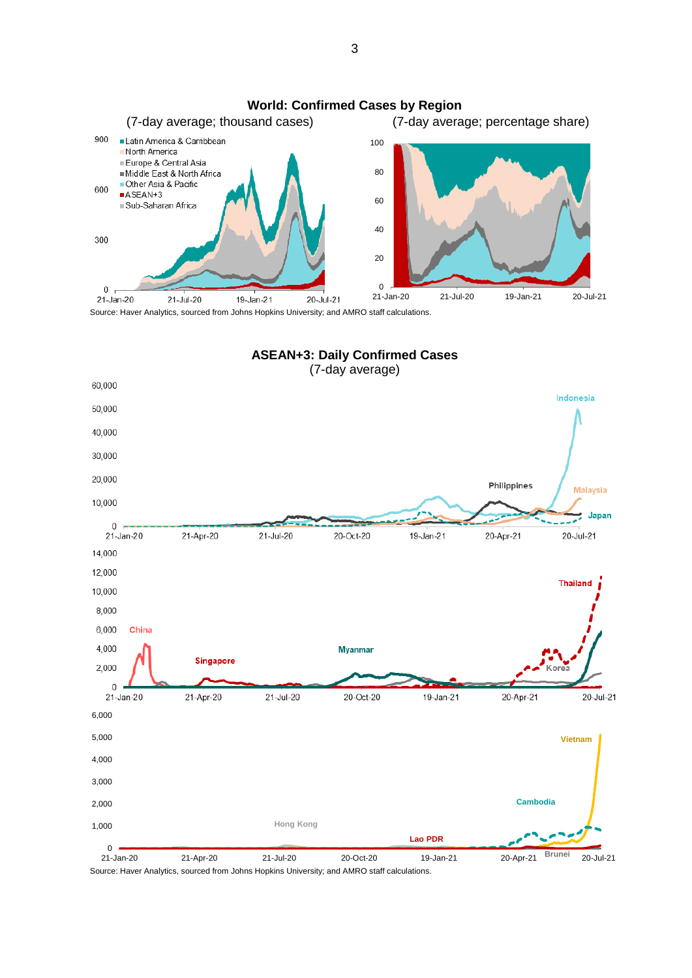

Source: Haver Analytics, sourced from Johns Hopkins University; and AMRO staff calculations.



Source: Haver Analytics, sourced from Johns Hopkins University; and AMRO staff calculations.

3